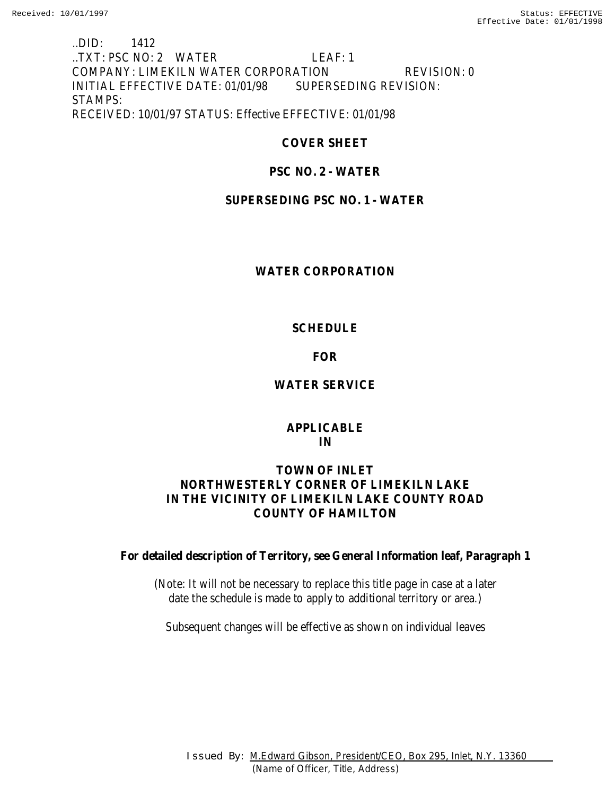## ..DID: 1412 ..TXT: PSC NO: 2 WATER LEAF: 1 COMPANY: LIMEKILN WATER CORPORATION REVISION: 0 INITIAL EFFECTIVE DATE: 01/01/98 SUPERSEDING REVISION: STAMPS: RECEIVED: 10/01/97 STATUS: Effective EFFECTIVE: 01/01/98

# **COVER SHEET**

# **PSC NO. 2 - WATER**

# **SUPERSEDING PSC NO. 1 - WATER**

## **WATER CORPORATION**

## **SCHEDULE**

## **FOR**

# **WATER SERVICE**

## **APPLICABLE IN**

## **TOWN OF INLET NORTHWESTERLY CORNER OF LIMEKILN LAKE IN THE VICINITY OF LIMEKILN LAKE COUNTY ROAD COUNTY OF HAMILTON**

**For detailed description of Territory, see General Information leaf, Paragraph 1**

(Note: It will not be necessary to replace this title page in case at a later date the schedule is made to apply to additional territory or area.)

Subsequent changes will be effective as shown on individual leaves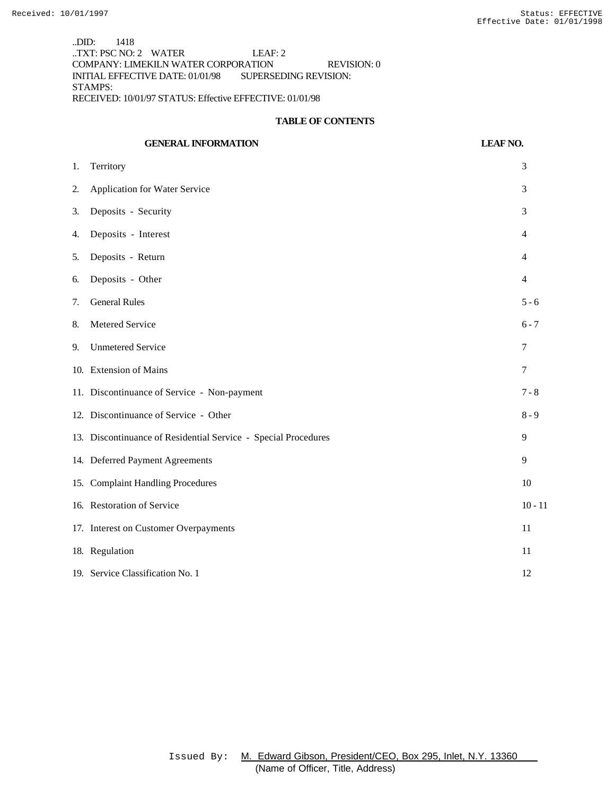..DID: 1418 ..TXT: PSC NO: 2 WATER LEAF: 2 COMPANY: LIMEKILN WATER CORPORATION REVISION: 0 INITIAL EFFECTIVE DATE: 01/01/98 SUPERSEDING REVISION: STAMPS: RECEIVED: 10/01/97 STATUS: Effective EFFECTIVE: 01/01/98

#### **TABLE OF CONTENTS**

|    | <b>GENERAL INFORMATION</b>                                     | <b>LEAF NO.</b> |
|----|----------------------------------------------------------------|-----------------|
| 1. | Territory                                                      | 3               |
| 2. | <b>Application for Water Service</b>                           | 3               |
| 3. | Deposits - Security                                            | 3               |
| 4. | Deposits - Interest                                            | $\overline{4}$  |
| 5. | Deposits - Return                                              | $\overline{4}$  |
| 6. | Deposits - Other                                               | $\overline{4}$  |
| 7. | <b>General Rules</b>                                           | $5 - 6$         |
| 8. | Metered Service                                                | $6 - 7$         |
| 9. | <b>Unmetered Service</b>                                       | 7               |
|    | 10. Extension of Mains                                         | $\tau$          |
|    | 11. Discontinuance of Service - Non-payment                    | $7 - 8$         |
|    | 12. Discontinuance of Service - Other                          | $8 - 9$         |
|    | 13. Discontinuance of Residential Service - Special Procedures | 9               |
|    | 14. Deferred Payment Agreements                                | 9               |
|    | 15. Complaint Handling Procedures                              | 10              |
|    | 16. Restoration of Service                                     | $10 - 11$       |
|    | 17. Interest on Customer Overpayments                          | 11              |
|    | 18. Regulation                                                 | 11              |
|    | 19. Service Classification No. 1                               | 12              |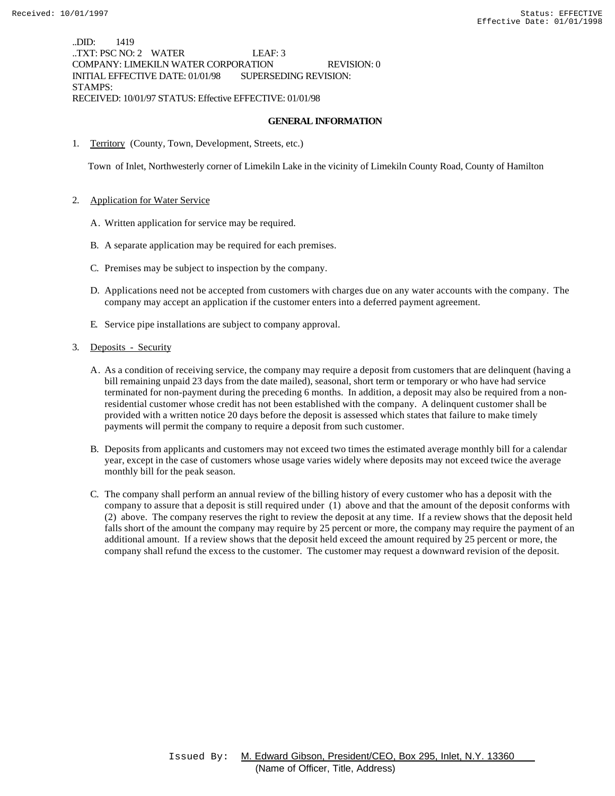..DID: 1419 ..TXT: PSC NO: 2 WATER LEAF: 3 COMPANY: LIMEKILN WATER CORPORATION REVISION: 0 INITIAL EFFECTIVE DATE: 01/01/98 SUPERSEDING REVISION: STAMPS: RECEIVED: 10/01/97 STATUS: Effective EFFECTIVE: 01/01/98

#### **GENERAL INFORMATION**

1. Territory (County, Town, Development, Streets, etc.)

Town of Inlet, Northwesterly corner of Limekiln Lake in the vicinity of Limekiln County Road, County of Hamilton

- 2. Application for Water Service
	- A. Written application for service may be required.
	- B. A separate application may be required for each premises.
	- C. Premises may be subject to inspection by the company.
	- D. Applications need not be accepted from customers with charges due on any water accounts with the company. The company may accept an application if the customer enters into a deferred payment agreement.
	- E. Service pipe installations are subject to company approval.
- 3. Deposits Security
	- A. As a condition of receiving service, the company may require a deposit from customers that are delinquent (having a bill remaining unpaid 23 days from the date mailed), seasonal, short term or temporary or who have had service terminated for non-payment during the preceding 6 months. In addition, a deposit may also be required from a nonresidential customer whose credit has not been established with the company. A delinquent customer shall be provided with a written notice 20 days before the deposit is assessed which states that failure to make timely payments will permit the company to require a deposit from such customer.
	- B. Deposits from applicants and customers may not exceed two times the estimated average monthly bill for a calendar year, except in the case of customers whose usage varies widely where deposits may not exceed twice the average monthly bill for the peak season.
	- C. The company shall perform an annual review of the billing history of every customer who has a deposit with the company to assure that a deposit is still required under (1) above and that the amount of the deposit conforms with (2) above. The company reserves the right to review the deposit at any time. If a review shows that the deposit held falls short of the amount the company may require by 25 percent or more, the company may require the payment of an additional amount. If a review shows that the deposit held exceed the amount required by 25 percent or more, the company shall refund the excess to the customer. The customer may request a downward revision of the deposit.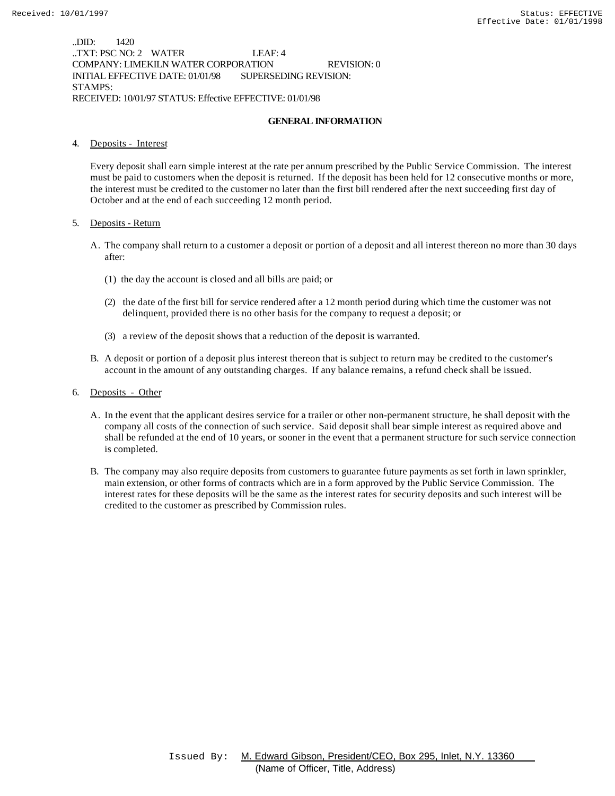..DID: 1420 ..TXT: PSC NO: 2 WATER LEAF: 4 COMPANY: LIMEKILN WATER CORPORATION REVISION: 0 INITIAL EFFECTIVE DATE: 01/01/98 SUPERSEDING REVISION: STAMPS: RECEIVED: 10/01/97 STATUS: Effective EFFECTIVE: 01/01/98

#### **GENERAL INFORMATION**

#### 4. Deposits - Interest

Every deposit shall earn simple interest at the rate per annum prescribed by the Public Service Commission. The interest must be paid to customers when the deposit is returned. If the deposit has been held for 12 consecutive months or more, the interest must be credited to the customer no later than the first bill rendered after the next succeeding first day of October and at the end of each succeeding 12 month period.

#### 5. Deposits - Return

- A. The company shall return to a customer a deposit or portion of a deposit and all interest thereon no more than 30 days after:
	- (1) the day the account is closed and all bills are paid; or
	- (2) the date of the first bill for service rendered after a 12 month period during which time the customer was not delinquent, provided there is no other basis for the company to request a deposit; or
	- (3) a review of the deposit shows that a reduction of the deposit is warranted.
- B. A deposit or portion of a deposit plus interest thereon that is subject to return may be credited to the customer's account in the amount of any outstanding charges. If any balance remains, a refund check shall be issued.
- 6. Deposits Other
	- A. In the event that the applicant desires service for a trailer or other non-permanent structure, he shall deposit with the company all costs of the connection of such service. Said deposit shall bear simple interest as required above and shall be refunded at the end of 10 years, or sooner in the event that a permanent structure for such service connection is completed.
	- B. The company may also require deposits from customers to guarantee future payments as set forth in lawn sprinkler, main extension, or other forms of contracts which are in a form approved by the Public Service Commission. The interest rates for these deposits will be the same as the interest rates for security deposits and such interest will be credited to the customer as prescribed by Commission rules.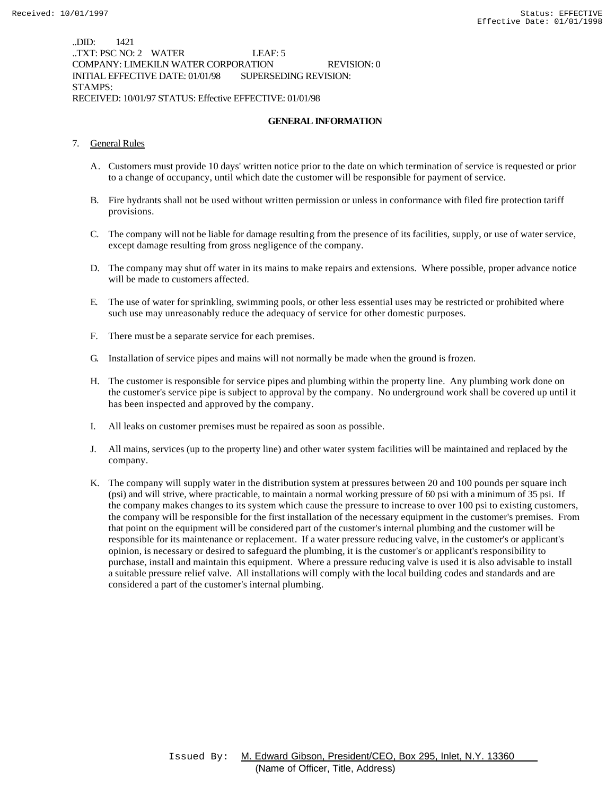..DID: 1421 ..TXT: PSC NO: 2 WATER LEAF: 5 COMPANY: LIMEKILN WATER CORPORATION REVISION: 0 INITIAL EFFECTIVE DATE: 01/01/98 SUPERSEDING REVISION: STAMPS: RECEIVED: 10/01/97 STATUS: Effective EFFECTIVE: 01/01/98

#### **GENERAL INFORMATION**

- 7. General Rules
	- A. Customers must provide 10 days' written notice prior to the date on which termination of service is requested or prior to a change of occupancy, until which date the customer will be responsible for payment of service.
	- B. Fire hydrants shall not be used without written permission or unless in conformance with filed fire protection tariff provisions.
	- C. The company will not be liable for damage resulting from the presence of its facilities, supply, or use of water service, except damage resulting from gross negligence of the company.
	- D. The company may shut off water in its mains to make repairs and extensions. Where possible, proper advance notice will be made to customers affected.
	- E. The use of water for sprinkling, swimming pools, or other less essential uses may be restricted or prohibited where such use may unreasonably reduce the adequacy of service for other domestic purposes.
	- F. There must be a separate service for each premises.
	- G. Installation of service pipes and mains will not normally be made when the ground is frozen.
	- H. The customer is responsible for service pipes and plumbing within the property line. Any plumbing work done on the customer's service pipe is subject to approval by the company. No underground work shall be covered up until it has been inspected and approved by the company.
	- I. All leaks on customer premises must be repaired as soon as possible.
	- J. All mains, services (up to the property line) and other water system facilities will be maintained and replaced by the company.
	- K. The company will supply water in the distribution system at pressures between 20 and 100 pounds per square inch (psi) and will strive, where practicable, to maintain a normal working pressure of 60 psi with a minimum of 35 psi. If the company makes changes to its system which cause the pressure to increase to over 100 psi to existing customers, the company will be responsible for the first installation of the necessary equipment in the customer's premises. From that point on the equipment will be considered part of the customer's internal plumbing and the customer will be responsible for its maintenance or replacement. If a water pressure reducing valve, in the customer's or applicant's opinion, is necessary or desired to safeguard the plumbing, it is the customer's or applicant's responsibility to purchase, install and maintain this equipment. Where a pressure reducing valve is used it is also advisable to install a suitable pressure relief valve. All installations will comply with the local building codes and standards and are considered a part of the customer's internal plumbing.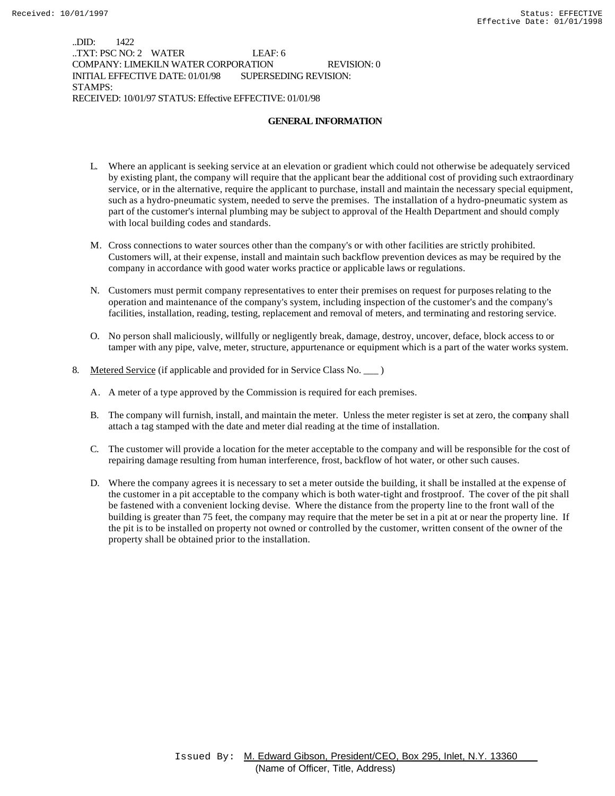..DID: 1422 ..TXT: PSC NO: 2 WATER LEAF: 6 COMPANY: LIMEKILN WATER CORPORATION REVISION: 0 INITIAL EFFECTIVE DATE: 01/01/98 SUPERSEDING REVISION: STAMPS: RECEIVED: 10/01/97 STATUS: Effective EFFECTIVE: 01/01/98

#### **GENERAL INFORMATION**

- L. Where an applicant is seeking service at an elevation or gradient which could not otherwise be adequately serviced by existing plant, the company will require that the applicant bear the additional cost of providing such extraordinary service, or in the alternative, require the applicant to purchase, install and maintain the necessary special equipment, such as a hydro-pneumatic system, needed to serve the premises. The installation of a hydro-pneumatic system as part of the customer's internal plumbing may be subject to approval of the Health Department and should comply with local building codes and standards.
- M. Cross connections to water sources other than the company's or with other facilities are strictly prohibited. Customers will, at their expense, install and maintain such backflow prevention devices as may be required by the company in accordance with good water works practice or applicable laws or regulations.
- N. Customers must permit company representatives to enter their premises on request for purposes relating to the operation and maintenance of the company's system, including inspection of the customer's and the company's facilities, installation, reading, testing, replacement and removal of meters, and terminating and restoring service.
- O. No person shall maliciously, willfully or negligently break, damage, destroy, uncover, deface, block access to or tamper with any pipe, valve, meter, structure, appurtenance or equipment which is a part of the water works system.
- 8. Metered Service (if applicable and provided for in Service Class No. \_\_\_ )
	- A. A meter of a type approved by the Commission is required for each premises.
	- B. The company will furnish, install, and maintain the meter. Unless the meter register is set at zero, the company shall attach a tag stamped with the date and meter dial reading at the time of installation.
	- C. The customer will provide a location for the meter acceptable to the company and will be responsible for the cost of repairing damage resulting from human interference, frost, backflow of hot water, or other such causes.
	- D. Where the company agrees it is necessary to set a meter outside the building, it shall be installed at the expense of the customer in a pit acceptable to the company which is both water-tight and frostproof. The cover of the pit shall be fastened with a convenient locking devise. Where the distance from the property line to the front wall of the building is greater than 75 feet, the company may require that the meter be set in a pit at or near the property line. If the pit is to be installed on property not owned or controlled by the customer, written consent of the owner of the property shall be obtained prior to the installation.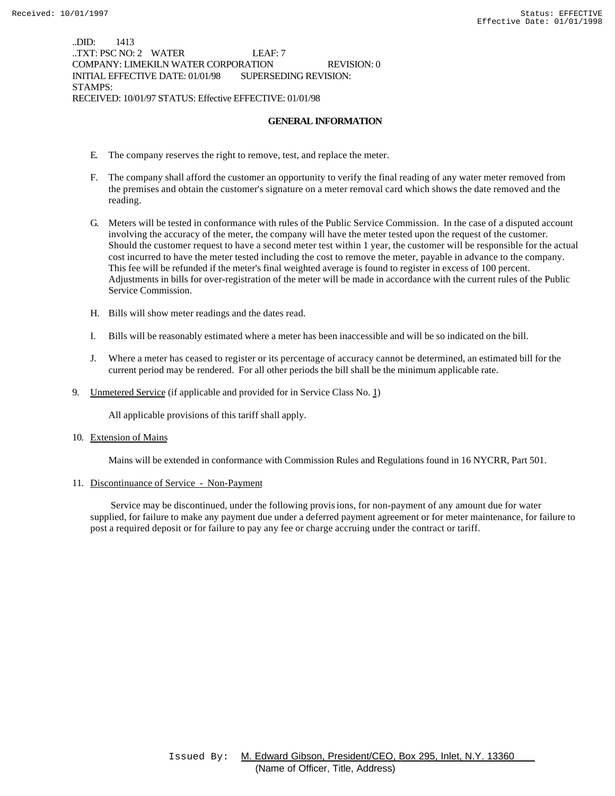..DID: 1413 ..TXT: PSC NO: 2 WATER LEAF: 7 COMPANY: LIMEKILN WATER CORPORATION REVISION: 0 INITIAL EFFECTIVE DATE: 01/01/98 SUPERSEDING REVISION: STAMPS: RECEIVED: 10/01/97 STATUS: Effective EFFECTIVE: 01/01/98

#### **GENERAL INFORMATION**

- E. The company reserves the right to remove, test, and replace the meter.
- F. The company shall afford the customer an opportunity to verify the final reading of any water meter removed from the premises and obtain the customer's signature on a meter removal card which shows the date removed and the reading.
- G. Meters will be tested in conformance with rules of the Public Service Commission. In the case of a disputed account involving the accuracy of the meter, the company will have the meter tested upon the request of the customer. Should the customer request to have a second meter test within 1 year, the customer will be responsible for the actual cost incurred to have the meter tested including the cost to remove the meter, payable in advance to the company. This fee will be refunded if the meter's final weighted average is found to register in excess of 100 percent. Adjustments in bills for over-registration of the meter will be made in accordance with the current rules of the Public Service Commission.
- H. Bills will show meter readings and the dates read.
- I. Bills will be reasonably estimated where a meter has been inaccessible and will be so indicated on the bill.
- J. Where a meter has ceased to register or its percentage of accuracy cannot be determined, an estimated bill for the current period may be rendered. For all other periods the bill shall be the minimum applicable rate.
- 9. Unmetered Service (if applicable and provided for in Service Class No. 1)

All applicable provisions of this tariff shall apply.

10. Extension of Mains

Mains will be extended in conformance with Commission Rules and Regulations found in 16 NYCRR, Part 501.

11. Discontinuance of Service - Non-Payment

 Service may be discontinued, under the following provisions, for non-payment of any amount due for water supplied, for failure to make any payment due under a deferred payment agreement or for meter maintenance, for failure to post a required deposit or for failure to pay any fee or charge accruing under the contract or tariff.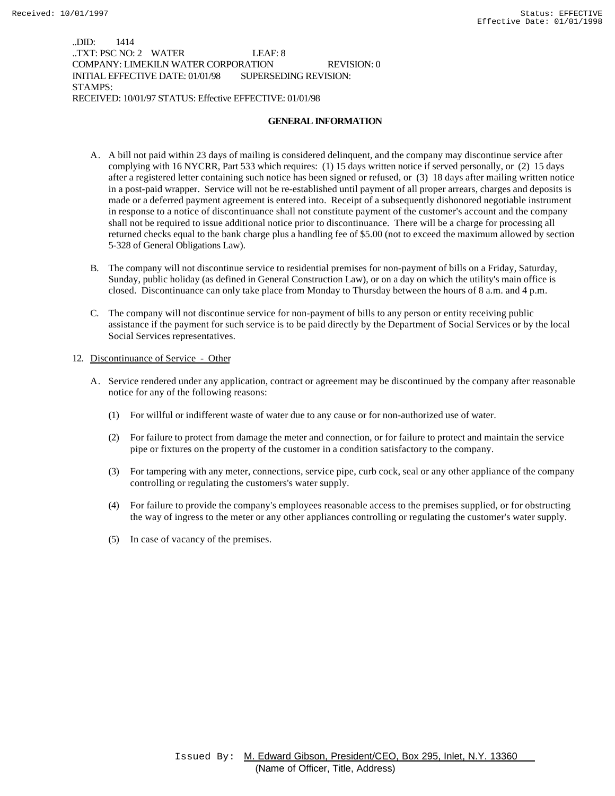..DID: 1414 ..TXT: PSC NO: 2 WATER LEAF: 8 COMPANY: LIMEKILN WATER CORPORATION REVISION: 0 INITIAL EFFECTIVE DATE: 01/01/98 SUPERSEDING REVISION: STAMPS: RECEIVED: 10/01/97 STATUS: Effective EFFECTIVE: 01/01/98

#### **GENERAL INFORMATION**

- A. A bill not paid within 23 days of mailing is considered delinquent, and the company may discontinue service after complying with 16 NYCRR, Part 533 which requires: (1) 15 days written notice if served personally, or (2) 15 days after a registered letter containing such notice has been signed or refused, or (3) 18 days after mailing written notice in a post-paid wrapper. Service will not be re-established until payment of all proper arrears, charges and deposits is made or a deferred payment agreement is entered into. Receipt of a subsequently dishonored negotiable instrument in response to a notice of discontinuance shall not constitute payment of the customer's account and the company shall not be required to issue additional notice prior to discontinuance. There will be a charge for processing all returned checks equal to the bank charge plus a handling fee of \$5.00 (not to exceed the maximum allowed by section 5-328 of General Obligations Law).
- B. The company will not discontinue service to residential premises for non-payment of bills on a Friday, Saturday, Sunday, public holiday (as defined in General Construction Law), or on a day on which the utility's main office is closed. Discontinuance can only take place from Monday to Thursday between the hours of 8 a.m. and 4 p.m.
- C. The company will not discontinue service for non-payment of bills to any person or entity receiving public assistance if the payment for such service is to be paid directly by the Department of Social Services or by the local Social Services representatives.

#### 12. Discontinuance of Service - Other

- A. Service rendered under any application, contract or agreement may be discontinued by the company after reasonable notice for any of the following reasons:
	- (1) For willful or indifferent waste of water due to any cause or for non-authorized use of water.
	- (2) For failure to protect from damage the meter and connection, or for failure to protect and maintain the service pipe or fixtures on the property of the customer in a condition satisfactory to the company.
	- (3) For tampering with any meter, connections, service pipe, curb cock, seal or any other appliance of the company controlling or regulating the customers's water supply.
	- (4) For failure to provide the company's employees reasonable access to the premises supplied, or for obstructing the way of ingress to the meter or any other appliances controlling or regulating the customer's water supply.
	- (5) In case of vacancy of the premises.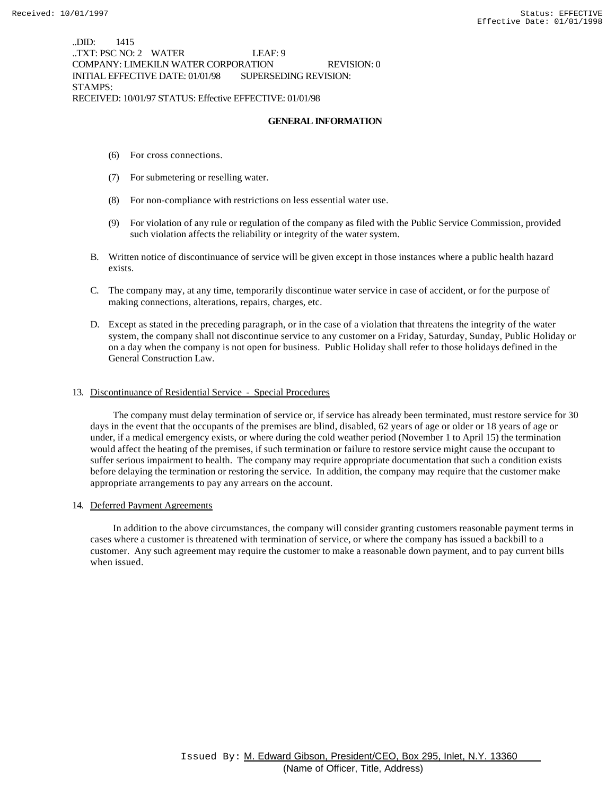..DID: 1415 ..TXT: PSC NO: 2 WATER LEAF: 9 COMPANY: LIMEKILN WATER CORPORATION REVISION: 0 INITIAL EFFECTIVE DATE: 01/01/98 SUPERSEDING REVISION: STAMPS: RECEIVED: 10/01/97 STATUS: Effective EFFECTIVE: 01/01/98

#### **GENERAL INFORMATION**

- (6) For cross connections.
- (7) For submetering or reselling water.
- (8) For non-compliance with restrictions on less essential water use.
- (9) For violation of any rule or regulation of the company as filed with the Public Service Commission, provided such violation affects the reliability or integrity of the water system.
- B. Written notice of discontinuance of service will be given except in those instances where a public health hazard exists.
- C. The company may, at any time, temporarily discontinue water service in case of accident, or for the purpose of making connections, alterations, repairs, charges, etc.
- D. Except as stated in the preceding paragraph, or in the case of a violation that threatens the integrity of the water system, the company shall not discontinue service to any customer on a Friday, Saturday, Sunday, Public Holiday or on a day when the company is not open for business. Public Holiday shall refer to those holidays defined in the General Construction Law.

### 13. Discontinuance of Residential Service - Special Procedures

 The company must delay termination of service or, if service has already been terminated, must restore service for 30 days in the event that the occupants of the premises are blind, disabled, 62 years of age or older or 18 years of age or under, if a medical emergency exists, or where during the cold weather period (November 1 to April 15) the termination would affect the heating of the premises, if such termination or failure to restore service might cause the occupant to suffer serious impairment to health. The company may require appropriate documentation that such a condition exists before delaying the termination or restoring the service. In addition, the company may require that the customer make appropriate arrangements to pay any arrears on the account.

### 14. Deferred Payment Agreements

 In addition to the above circumstances, the company will consider granting customers reasonable payment terms in cases where a customer is threatened with termination of service, or where the company has issued a backbill to a customer. Any such agreement may require the customer to make a reasonable down payment, and to pay current bills when issued.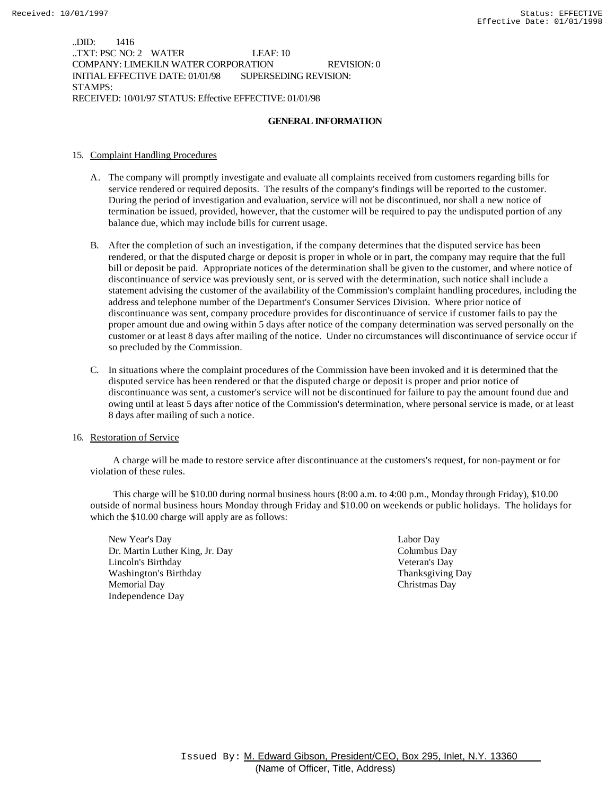..DID: 1416 ..TXT: PSC NO: 2 WATER LEAF: 10 COMPANY: LIMEKILN WATER CORPORATION REVISION: 0 INITIAL EFFECTIVE DATE: 01/01/98 SUPERSEDING REVISION: STAMPS: RECEIVED: 10/01/97 STATUS: Effective EFFECTIVE: 01/01/98

#### **GENERAL INFORMATION**

### 15. Complaint Handling Procedures

- A. The company will promptly investigate and evaluate all complaints received from customers regarding bills for service rendered or required deposits. The results of the company's findings will be reported to the customer. During the period of investigation and evaluation, service will not be discontinued, nor shall a new notice of termination be issued, provided, however, that the customer will be required to pay the undisputed portion of any balance due, which may include bills for current usage.
- B. After the completion of such an investigation, if the company determines that the disputed service has been rendered, or that the disputed charge or deposit is proper in whole or in part, the company may require that the full bill or deposit be paid. Appropriate notices of the determination shall be given to the customer, and where notice of discontinuance of service was previously sent, or is served with the determination, such notice shall include a statement advising the customer of the availability of the Commission's complaint handling procedures, including the address and telephone number of the Department's Consumer Services Division. Where prior notice of discontinuance was sent, company procedure provides for discontinuance of service if customer fails to pay the proper amount due and owing within 5 days after notice of the company determination was served personally on the customer or at least 8 days after mailing of the notice. Under no circumstances will discontinuance of service occur if so precluded by the Commission.
- C. In situations where the complaint procedures of the Commission have been invoked and it is determined that the disputed service has been rendered or that the disputed charge or deposit is proper and prior notice of discontinuance was sent, a customer's service will not be discontinued for failure to pay the amount found due and owing until at least 5 days after notice of the Commission's determination, where personal service is made, or at least 8 days after mailing of such a notice.

#### 16. Restoration of Service

 A charge will be made to restore service after discontinuance at the customers's request, for non-payment or for violation of these rules.

 This charge will be \$10.00 during normal business hours (8:00 a.m. to 4:00 p.m., Monday through Friday), \$10.00 outside of normal business hours Monday through Friday and \$10.00 on weekends or public holidays. The holidays for which the \$10.00 charge will apply are as follows:

New Year's Day Labor Day Dr. Martin Luther King, Jr. Day Columbus Day Lincoln's Birthday Veteran's Day Washington's Birthday **Thanksgiving Day** Thanksgiving Day Memorial Day Christmas Day Independence Day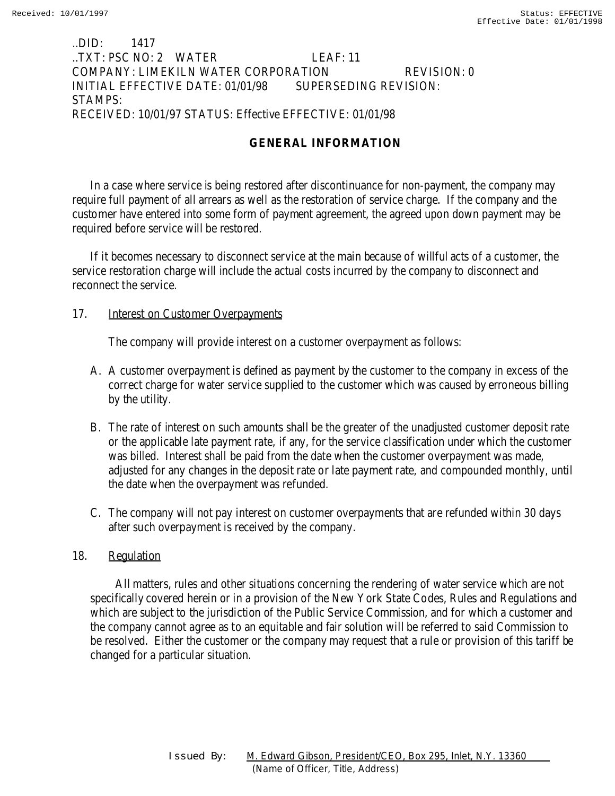## ..DID: 1417 ..TXT: PSC NO: 2 WATER LEAF: 11 COMPANY: LIMEKILN WATER CORPORATION REVISION: 0 INITIAL EFFECTIVE DATE: 01/01/98 SUPERSEDING REVISION: STAMPS: RECEIVED: 10/01/97 STATUS: Effective EFFECTIVE: 01/01/98

## **GENERAL INFORMATION**

In a case where service is being restored after discontinuance for non-payment, the company may require full payment of all arrears as well as the restoration of service charge. If the company and the customer have entered into some form of payment agreement, the agreed upon down payment may be required before service will be restored.

If it becomes necessary to disconnect service at the main because of willful acts of a customer, the service restoration charge will include the actual costs incurred by the company to disconnect and reconnect the service.

### 17. **Interest on Customer Overpayments**

The company will provide interest on a customer overpayment as follows:

- A. A customer overpayment is defined as payment by the customer to the company in excess of the correct charge for water service supplied to the customer which was caused by erroneous billing by the utility.
- B. The rate of interest on such amounts shall be the greater of the unadjusted customer deposit rate or the applicable late payment rate, if any, for the service classification under which the customer was billed. Interest shall be paid from the date when the customer overpayment was made, adjusted for any changes in the deposit rate or late payment rate, and compounded monthly, until the date when the overpayment was refunded.
- C. The company will not pay interest on customer overpayments that are refunded within 30 days after such overpayment is received by the company.

## 18. Regulation

 All matters, rules and other situations concerning the rendering of water service which are not specifically covered herein or in a provision of the New York State Codes, Rules and Regulations and which are subject to the jurisdiction of the Public Service Commission, and for which a customer and the company cannot agree as to an equitable and fair solution will be referred to said Commission to be resolved. Either the customer or the company may request that a rule or provision of this tariff be changed for a particular situation.